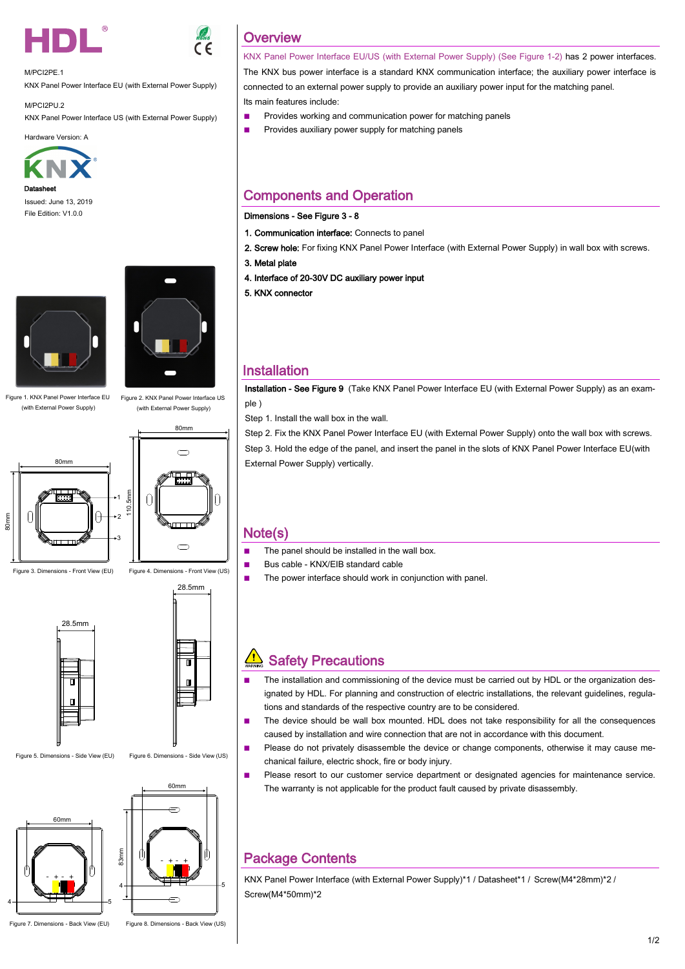



M/PCI2PE.1

KNX Panel Power Interface EU (with External Power Supply)

M/PCI2PU.2 KNX Panel Power Interface US (with External Power Supply)

Hardware Version: A



Issued: June 13, 2019 File Edition: V1.0.0



Figure 1. KNX Panel Power Interface EU (with External Power Supply)

80mm

Figure 3. Dimensions - Front View (EU)

80mm



Figure 2. KNX Panel Power Interface US (with External Power Supply)



Figure 4. Dimensions - Front View (US) 28.5mm



 $\cdot$ 1

 $\theta$ 

3



Figure 5. Dimensions - Side View (EU) Figure 6. Dimensions - Side View (US)





Figure 7. Dimensions - Back View (EU) Figure 8. Dimensions - Back View (US)

**Overview** 

KNX Panel Power Interface EU/US (with External Power Supply) (See Figure 1-2) has 2 power interfaces. The KNX bus power interface is a standard KNX communication interface; the auxiliary power interface is connected to an external power supply to provide an auxiliary power input for the matching panel. Its main features include:

- Provides working and communication power for matching panels
- Provides auxiliary power supply for matching panels

### Components and Operation

#### Dimensions - See Figure 3 - 8

- 1. Communication interface: Connects to panel
- 2. Screw hole: For fixing KNX Panel Power Interface (with External Power Supply) in wall box with screws.
- 3. Metal plate
- 4. Interface of 20-30V DC auxiliary power input
- 5. KNX connector

#### Installation

Installation - See Figure 9 (Take KNX Panel Power Interface EU (with External Power Supply) as an example )

Step 1. Install the wall box in the wall.

Step 2. Fix the KNX Panel Power Interface EU (with External Power Supply) onto the wall box with screws. Step 3. Hold the edge of the panel, and insert the panel in the slots of KNX Panel Power Interface EU(with External Power Supply) vertically.

#### Note(s)

- The panel should be installed in the wall box.
- Bus cable KNX/EIB standard cable
- The power interface should work in conjunction with panel.

## $\sqrt{\frac{1}{2}}$  Safety Precautions

- The installation and commissioning of the device must be carried out by HDL or the organization designated by HDL. For planning and construction of electric installations, the relevant guidelines, regulations and standards of the respective country are to be considered.
- The device should be wall box mounted. HDL does not take responsibility for all the consequences caused by installation and wire connection that are not in accordance with this document.
- Please do not privately disassemble the device or change components, otherwise it may cause mechanical failure, electric shock, fire or body injury.
- Please resort to our customer service department or designated agencies for maintenance service. The warranty is not applicable for the product fault caused by private disassembly.

### Package Contents

KNX Panel Power Interface (with External Power Supply)\*1 / Datasheet\*1 / Screw(M4\*28mm)\*2 / Screw(M4\*50mm)\*2